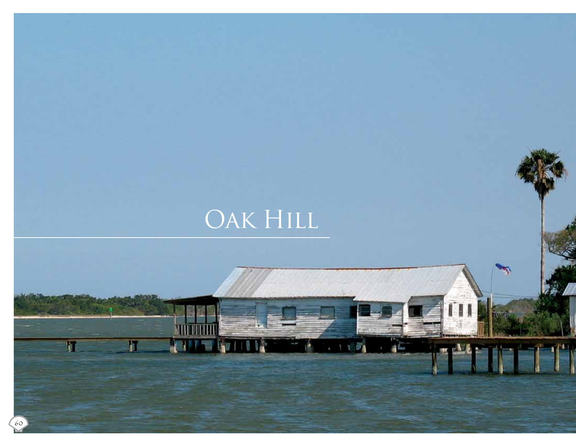# OAK HILL

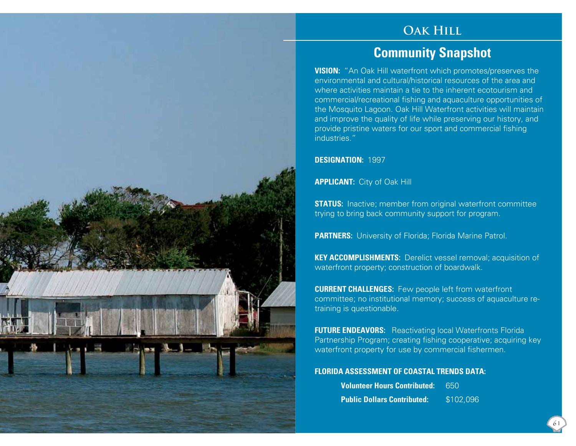### **Oak Hill**

## **Community Snapshot**

**VISION:** "An Oak Hill waterfront which promotes/preserves the environmental and cultural/historical resources of the area and where activities maintain a tie to the inherent ecotourism and commercial/recreational fishing and aquaculture opportunities of the Mosquito Lagoon. Oak Hill Waterfront activities will maintain and improve the quality of life while preserving our history, and provide pristine waters for our sport and commercial fishing industries."

**DESIGNATION:** 1997

 $-1 - 1 -$ 

**APPLICANT:** City of Oak Hill

**STATUS:** Inactive; member from original waterfront committee trying to bring back community support for program.

**PARTNERS:** University of Florida; Florida Marine Patrol.

**KEY ACCOMPLISHMENTS:** Derelict vessel removal; acquisition of waterfront property; construction of boardwalk.

**CURRENT CHALLENGES:** Few people left from waterfront committee; no institutional memory; success of aquaculture retraining is questionable.

**FUTURE ENDEAVORS:** Reactivating local Waterfronts Florida Partnership Program; creating fishing cooperative; acquiring key waterfront property for use by commercial fishermen.

#### **FLORIDA ASSESSMENT OF COASTAL TRENDS DATA:**

| <b>Volunteer Hours Contributed:</b> | 650       |
|-------------------------------------|-----------|
| <b>Public Dollars Contributed:</b>  | \$102,096 |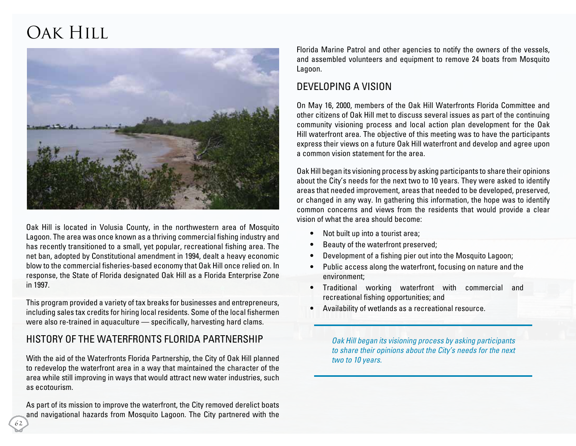# Oak Hill



Oak Hill is located in Volusia County, in the northwestern area of Mosquito Lagoon. The area was once known as a thriving commercial fishing industry and has recently transitioned to a small, yet popular, recreational fishing area. The net ban, adopted by Constitutional amendment in 1994, dealt a heavy economic blow to the commercial fisheries-based economy that Oak Hill once relied on. In response, the State of Florida designated Oak Hill as a Florida Enterprise Zone in 1997.

This program provided a variety of tax breaks for businesses and entrepreneurs, including sales tax credits for hiring local residents. Some of the local fishermen were also re-trained in aquaculture — specifically, harvesting hard clams.

### History of the Waterfronts Florida Partnership

With the aid of the Waterfronts Florida Partnership, the City of Oak Hill planned to redevelop the waterfront area in a way that maintained the character of the area while still improving in ways that would attract new water industries, such as ecotourism.

As part of its mission to improve the waterfront, the City removed derelict boats and navigational hazards from Mosquito Lagoon. The City partnered with the Florida Marine Patrol and other agencies to notify the owners of the vessels, and assembled volunteers and equipment to remove 24 boats from Mosquito Lagoon.

### Developing a Vision

On May 16, 2000, members of the Oak Hill Waterfronts Florida Committee and other citizens of Oak Hill met to discuss several issues as part of the continuing community visioning process and local action plan development for the Oak Hill waterfront area. The objective of this meeting was to have the participants express their views on a future Oak Hill waterfront and develop and agree upon a common vision statement for the area.

Oak Hill began its visioning process by asking participants to share their opinions about the City's needs for the next two to 10 years. They were asked to identify areas that needed improvement, areas that needed to be developed, preserved, or changed in any way. In gathering this information, the hope was to identify common concerns and views from the residents that would provide a clear vision of what the area should become:

- Not built up into a tourist area;
- Beauty of the waterfront preserved;
- Development of a fishing pier out into the Mosquito Lagoon;
- Public access along the waterfront, focusing on nature and the environment;
- Traditional working waterfront with commercial and recreational fishing opportunities; and
- Availability of wetlands as a recreational resource.

Oak Hill began its visioning process by asking participants *to share their opinions about the City's needs for the next two to 10 years.*